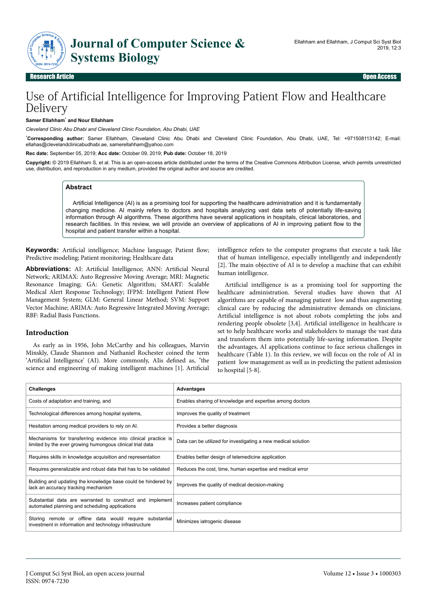

## Research Article Open Access

# Use of Artificial Intelligence for Improving Patient Flow and Healthcare Delivery

#### **Samer Ellahham**\*  **and Nour Ellahham**

*Cleveland Clinic Abu Dhabi and Cleveland Clinic Foundation, Abu Dhabi, UAE*

\***Corresponding author:** Samer Ellahham, Cleveland Clinic Abu Dhabi and Cleveland Clinic Foundation, Abu Dhabi, UAE, Tel: +971508113142; E-mail: ellahas@clevelandclinicabudhabi.ae, samerellahham@yahoo.com

**Rec date:** September 05, 2019; **Acc date:** October 09, 2019; **Pub date:** October 18, 2019

**Copyright:** © 2019 Ellahham S, et al. This is an open-access article distributed under the terms of the Creative Commons Attribution License, which permits unrestricted use, distribution, and reproduction in any medium, provided the original author and source are credited.

#### **Abstract**

Artificial Intelligence (AI) is as a promising tool for supporting the healthcare administration and it is fundamentally changing medicine. AI mainly refers to doctors and hospitals analyzing vast data sets of potentially life-saving information through AI algorithms. These algorithms have several applications in hospitals, clinical laboratories, and research facilities. In this review, we will provide an overview of applications of AI in improving patient flow to the hospital and patient transfer within a hospital.

**Keywords:** Artificial intelligence; Machine language; Patient flow; Predictive modeling; Patient monitoring; Healthcare data

Abbreviations: AI: Artificial Intelligence; ANN: Artificial Neural Network; ARIMAX: Auto Regressive Moving Average; MRI: Magnetic Resonance Imaging; GA: Genetic Algorithm; SMART: Scalable Medical Alert Response Technology; IFPM: Intelligent Patient Flow Management System; GLM: General Linear Method; SVM: Support Vector Machine; ARIMA: Auto Regressive Integrated Moving Average; RBF: Radial Basis Functions.

## **Introduction**

As early as in 1956, John McCarthy and his colleagues, Marvin Minskly, Claude Shannon and Nathaniel Rochester coined the term 'Artificial Intelligence' (AI). More commonly, AIis defined as, "the science and engineering of making intelligent machines [1]. Artificial

intelligence refers to the computer programs that execute a task like that of human intelligence, especially intelligently and independently [2]. Нe main objective of AI is to develop a machine that can exhibit human intelligence.

Artificial intelligence is as a promising tool for supporting the healthcare administration. Several studies have shown that AI algorithms are capable of managing patient low and thus augmenting clinical care by reducing the administrative demands on clinicians. Artificial intelligence is not about robots completing the jobs and rendering people obsolete [3,4]. Artificial intelligence in healthcare is set to help healthcare works and stakeholders to manage the vast data and transform them into potentially life-saving information. Despite the advantages, AI applications continue to face serious challenges in healthcare (Table 1). In this review, we will focus on the role of AI in patient low management as well as in predicting the patient admission to hospital [5-8].

| <b>Challenges</b>                                                                                                           | <b>Advantages</b>                                             |
|-----------------------------------------------------------------------------------------------------------------------------|---------------------------------------------------------------|
| Costs of adaptation and training, and                                                                                       | Enables sharing of knowledge and expertise among doctors      |
| Technological differences among hospital systems,                                                                           | Improves the quality of treatment                             |
| Hesitation among medical providers to rely on Al.                                                                           | Provides a better diagnosis                                   |
| Mechanisms for transferring evidence into clinical practice is<br>limited by the ever growing humongous clinical trial data | Data can be utilized for investigating a new medical solution |
| Requires skills in knowledge acquisition and representation                                                                 | Enables better design of telemedicine application             |
| Requires generalizable and robust data that has to be validated                                                             | Reduces the cost, time, human expertise and medical error     |
| Building and updating the knowledge base could be hindered by<br>lack an accuracy tracking mechanism                        | Improves the quality of medical decision-making               |
| Substantial data are warranted to construct and implement<br>automated planning and scheduling applications                 | Increases patient compliance                                  |
| Storing remote or offline data would require substantial<br>investment in information and technology infrastructure         | Minimizes iatrogenic disease                                  |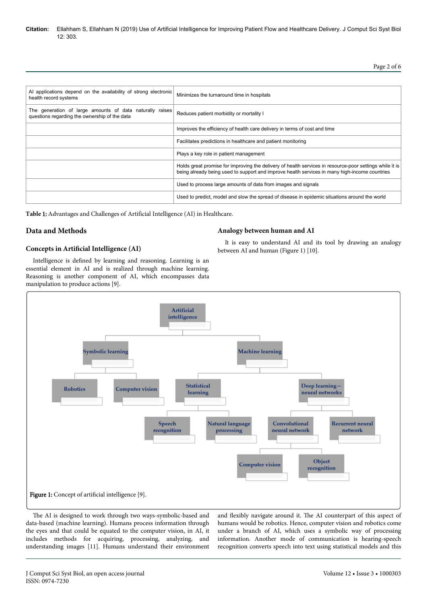**Citation:** Ellahham S, Ellahham N (2019) Use of Artificial Intelligence for Improving Patient Flow and Healthcare Delivery. J Comput Sci Syst Biol 12: 303.

Page 2 of 6

| Al applications depend on the availability of strong electronic<br>health record systems                  | Minimizes the turnaround time in hospitals                                                                                                                                                               |
|-----------------------------------------------------------------------------------------------------------|----------------------------------------------------------------------------------------------------------------------------------------------------------------------------------------------------------|
| The generation of large amounts of data naturally raises<br>questions regarding the ownership of the data | Reduces patient morbidity or mortality I                                                                                                                                                                 |
|                                                                                                           | Improves the efficiency of health care delivery in terms of cost and time                                                                                                                                |
|                                                                                                           | Facilitates predictions in healthcare and patient monitoring                                                                                                                                             |
|                                                                                                           | Plays a key role in patient management                                                                                                                                                                   |
|                                                                                                           | Holds great promise for improving the delivery of health services in resource-poor settings while it is<br>being already being used to support and improve health services in many high-income countries |
|                                                                                                           | Used to process large amounts of data from images and signals                                                                                                                                            |
|                                                                                                           | Used to predict, model and slow the spread of disease in epidemic situations around the world                                                                                                            |

Table 1: Advantages and Challenges of Artificial Intelligence (AI) in Healthcare.

# **Data and Methods**

## **Concepts in Artificial Intelligence (AI)**

Intelligence is defined by learning and reasoning. Learning is an essential element in AI and is realized through machine learning. Reasoning is another component of AI, which encompasses data manipulation to produce actions [9].

## **Analogy between human and AI**

It is easy to understand AI and its tool by drawing an analogy between AI and human (Figure 1) [10].



The AI is designed to work through two ways-symbolic-based and data-based (machine learning). Humans process information through the eyes and that could be equated to the computer vision, in AI, it includes methods for acquiring, processing, analyzing, and understanding images [11]. Humans understand their environment and flexibly navigate around it. Нe AI counterpart of this aspect of humans would be robotics. Hence, computer vision and robotics come under a branch of AI, which uses a symbolic way of processing information. Another mode of communication is hearing-speech recognition converts speech into text using statistical models and this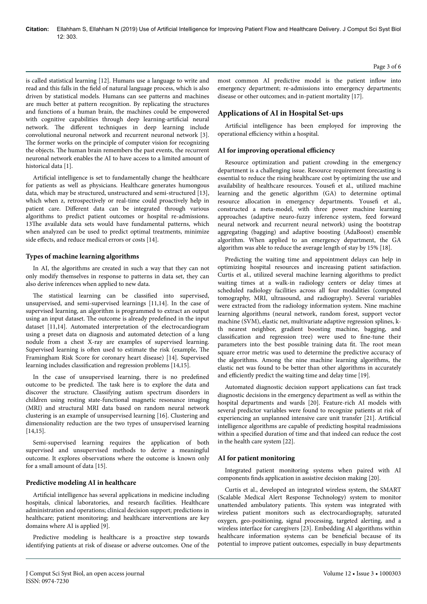is called statistical learning [12]. Humans use a language to write and read and this falls in the field of natural language process, which is also driven by statistical models. Humans can see patterns and machines are much better at pattern recognition. By replicating the structures and functions of a human brain, the machines could be empowered with cognitive capabilities through deep learning-artificial neural network. The different techniques in deep learning include convolutional neuronal network and recurrent neuronal network [3]. The former works on the principle of computer vision for recognizing the objects. Нe human brain remembers the past events, the recurrent neuronal network enables the AI to have access to a limited amount of historical data [1].

Artificial intelligence is set to fundamentally change the healthcare for patients as well as physicians. Healthcare generates humongous data, which may be structured, unstructured and semi-structured [13], which when z, retrospectively or real-time could proactively help in patient care. Different data can be integrated through various algorithms to predict patient outcomes or hospital re-admissions. 13The available data sets would have fundamental patterns, which when analyzed can be used to predict optimal treatments, minimize side effects, and reduce medical errors or costs [14].

#### **Types of machine learning algorithms**

In AI, the algorithms are created in such a way that they can not only modify themselves in response to patterns in data set, they can also derive inferences when applied to new data.

The statistical learning can be classified into supervised, unsupervised, and semi-supervised learnings [11,14]. In the case of supervised learning, an algorithm is programmed to extract an output using an input dataset. Нe outcome is already predefined in the input dataset [11,14]. Automated interpretation of the electrocardiogram using a preset data on diagnosis and automated detection of a lung nodule from a chest X-ray are examples of supervised learning. Supervised learning is often used to estimate the risk (example, The Framingham Risk Score for coronary heart disease) [14]. Supervised learning includes classification and regression problems [14,15].

In the case of unsupervised learning, there is no predefined outcome to be predicted. Нe task here is to explore the data and discover the structure. Classifying autism spectrum disorders in children using resting state-functional magnetic resonance imaging (MRI) and structural MRI data based on random neural network clustering is an example of unsupervised learning [16]. Clustering and dimensionality reduction are the two types of unsupervised learning [14,15].

Semi-supervised learning requires the application of both supervised and unsupervised methods to derive a meaningful outcome. It explores observations where the outcome is known only for a small amount of data [15].

#### **Predictive modeling AI in healthcare**

Artificial intelligence has several applications in medicine including hospitals, clinical laboratories, and research facilities. Healthcare administration and operations; clinical decision support; predictions in healthcare; patient monitoring; and healthcare interventions are key domains where AI is applied [9].

Predictive modeling is healthcare is a proactive step towards identifying patients at risk of disease or adverse outcomes. One of the Page 3 of 6

most common AI predictive model is the patient inflow into emergency department; re-admissions into emergency departments; disease or other outcomes; and in-patient mortality [17].

## **Applications of AI in Hospital Set-ups**

Artificial intelligence has been employed for improving the operational efficiency within a hospital.

#### AI for improving operational efficiency

Resource optimization and patient crowding in the emergency department is a challenging issue. Resource requirement forecasting is essential to reduce the rising healthcare cost by optimizing the use and availability of healthcare resources. Yousefi et al., utilized machine learning and the genetic algorithm (GA) to determine optimal resource allocation in emergency departments. Yousefi et al., constructed a meta-model, with three power machine learning approaches (adaptive neuro-fuzzy inference system, feed forward neural network and recurrent neural network) using the bootstrap aggregating (bagging) and adaptive boosting (AdaBoost) ensemble algorithm. When applied to an emergency department, the GA algorithm was able to reduce the average length of stay by 15% [18].

Predicting the waiting time and appointment delays can help in optimizing hospital resources and increasing patient satisfaction. Curtis et al., utilized several machine learning algorithms to predict waiting times at a walk-in radiology centers or delay times at scheduled radiology facilities across all four modalities (computed tomography, MRI, ultrasound, and radiography). Several variables were extracted from the radiology information system. Nine machine learning algorithms (neural network, random forest, support vector machine (SVM), elastic net, multivariate adaptive regression splines, kth nearest neighbor, gradient boosting machine, bagging, and classification and regression tree) were used to fine-tune their parameters into the best possible training data fit. Нe root mean square error metric was used to determine the predictive accuracy of the algorithms. Among the nine machine learning algorithms, the elastic net was found to be better than other algorithms in accurately and efficiently predict the waiting time and delay time [19].

Automated diagnostic decision support applications can fast track diagnostic decisions in the emergency department as well as within the hospital departments and wards [20]. Feature-rich AI models with several predictor variables were found to recognize patients at risk of experiencing an unplanned intensive care unit transfer [21]. Artificial intelligence algorithms are capable of predicting hospital readmissions within a specified duration of time and that indeed can reduce the cost in the health care system [22].

## **AI for patient monitoring**

Integrated patient monitoring systems when paired with AI components finds application in assistive decision making [20].

Curtis et al., developed an integrated wireless system, the SMART (Scalable Medical Alert Response Technology) system to monitor unattended ambulatory patients. Нis system was integrated with wireless patient monitors such as electrocardiography, saturated oxygen, geo-positioning, signal processing, targeted alerting, and a wireless interface for caregivers [23]. Embedding AI algorithms within healthcare information systems can be beneficial because of its potential to improve patient outcomes, especially in busy departments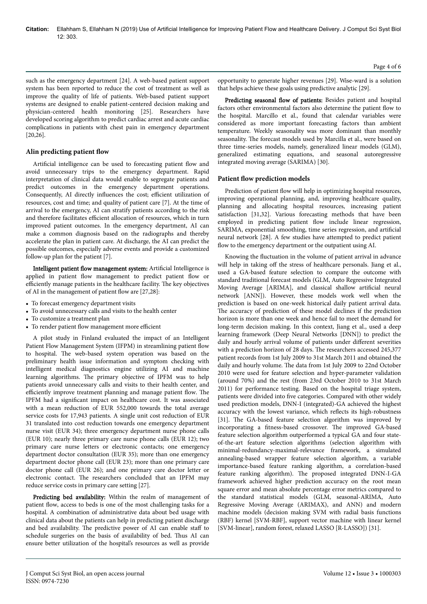such as the emergency department [24]. A web-based patient support system has been reported to reduce the cost of treatment as well as improve the quality of life of patients. Web-based patient support systems are designed to enable patient-centered decision making and physician-centered health monitoring [25]. Researchers have developed scoring algorithm to predict cardiac arrest and acute cardiac complications in patients with chest pain in emergency department [20,26].

#### **Alin predicting patient flow**

Artificial intelligence can be used to forecasting patient flow and avoid unnecessary trips to the emergency department. Rapid interpretation of clinical data would enable to segregate patients and predict outcomes in the emergency department operations. Consequently, AI directly influences the cost; efficient utilization of resources, cost and time; and quality of patient care [7]. At the time of arrival to the emergency, AI can stratify patients according to the risk and therefore facilitates efficient allocation of resources, which in turn improved patient outcomes. In the emergency department, AI can make a common diagnosis based on the radiographs and thereby accelerate the plan in patient care. At discharge, the AI can predict the possible outcomes, especially adverse events and provide a customized follow-up plan for the patient [7].

Intelligent patient flow management system: Artificial Intelligence is applied in patient flow management to predict patient flow or efficiently manage patients in the healthcare facility. The key objectives of AI in the management of patient flow are [27,28]:

- To forecast emergency department visits
- To avoid unnecessary calls and visits to the health center
- To customize a treatment plan
- To render patient flow management more efficient

A pilot study in Finland evaluated the impact of an Intelligent Patient Flow Management System (IFPM) in streamlining patient flow to hospital. Нe web-based system operation was based on the preliminary health issue information and symptom checking with intelligent medical diagnostics engine utilizing AI and machine learning algorithms. Нe primary objective of IPFM was to help patients avoid unnecessary calls and visits to their health center, and efficiently improve treatment planning and manage patient flow. The IPFM had a significant impact on healthcare cost. It was associated with a mean reduction of EUR 552,000 towards the total average service costs for 17,943 patients. A single unit cost reduction of EUR 31 translated into cost reduction towards one emergency department nurse visit (EUR 34); three emergency department nurse phone calls (EUR 10); nearly three primary care nurse phone calls (EUR 12); two primary care nurse letters or electronic contacts; one emergency department doctor consultation (EUR 35); more than one emergency department doctor phone call (EUR 23); more than one primary care doctor phone call (EUR 26); and one primary care doctor letter or electronic contact. Нe researchers concluded that an IPFM may reduce service costs in primary care setting [27].

Predicting bed availability: Within the realm of management of patient flow, access to beds is one of the most challenging tasks for a hospital. A combination of administrative data about bed usage with clinical data about the patients can help in predicting patient discharge and bed availability. The predictive power of AI can enable staff to schedule surgeries on the basis of availability of bed. Нus AI can ensure better utilization of the hospital's resources as well as provide opportunity to generate higher revenues [29]. Wise-ward is a solution that helps achieve these goals using predictive analytic [29].

Predicting seasonal flow of patients: Besides patient and hospital factors other environmental factors also determine the patient flow to the hospital. Marcillo et al., found that calendar variables were considered as more important forecasting factors than ambient temperature. Weekly seasonality was more dominant than monthly seasonality. Нe forecast models used by Marcilla et al., were based on three time-series models, namely, generalized linear models (GLM), generalized estimating equations, and seasonal autoregressive integrated moving average (SARIMA) [30].

#### **Patient flow prediction models**

Prediction of patient flow will help in optimizing hospital resources, improving operational planning, and, improving healthcare quality, planning and allocating hospital resources, increasing patient satisfaction [31,32]. Various forecasting methods that have been employed in predicting patient flow include linear regression, SARIMA, exponential smoothing, time series regression, and artificial neural network [28]. A few studies have attempted to predict patient flow to the emergency department or the outpatient using AI.

Knowing the fluctuation in the volume of patient arrival in advance will help in taking off the stress of healthcare personals. Jiang et al., used a GA-based feature selection to compare the outcome with standard traditional forecast models (GLM, Auto Regressive Integrated Moving Average [ARIMA], and classical shallow artificial neural network [ANN]). However, these models work well when the prediction is based on one-week historical daily patient arrival data. The accuracy of prediction of these model declines if the prediction horizon is more than one week and hence fail to meet the demand for long-term decision making. In this context, Jiang et al., used a deep learning framework (Deep Neural Networks [DNN]) to predict the daily and hourly arrival volume of patients under different severities with a prediction horizon of 28 days. Нe researchers accessed 245,377 patient records from 1st July 2009 to 31st March 2011 and obtained the daily and hourly volume. Нe data from 1st July 2009 to 22nd October 2010 were used for feature selection and hyper-parameter validation (around 70%) and the rest (from 23rd October 2010 to 31st March 2011) for performance testing. Based on the hospital triage system, patients were divided into five categories. Compared with other widely used prediction models, DNN-I (integrated)-GA achieved the highest accuracy with the lowest variance, which reflects its high-robustness [31]. Нe GA-based feature selection algorithm was improved by incorporating a fitness-based crossover. Нe improved GA-based feature selection algorithm outperformed a typical GA and four stateof-the-art feature selection algorithms (selection algorithm with minimal-redundancy-maximal-relevance framework, a simulated annealing-based wrapper feature selection algorithm, a variable importance-based feature ranking algorithm, a correlation-based feature ranking algorithm). Нe proposed integrated DNN-I-GA framework achieved higher prediction accuracy on the root mean square error and mean absolute percentage error metrics compared to the standard statistical models (GLM, seasonal-ARIMA, Auto Regressive Moving Average (ARIMAX), and ANN) and modern machine models (decision making SVM with radial basis functions (RBF) kernel [SVM-RBF], support vector machine with linear kernel [SVM-linear], random forest, relaxed LASSO [R-LASSO]) [31].

ISSN: 0974-7230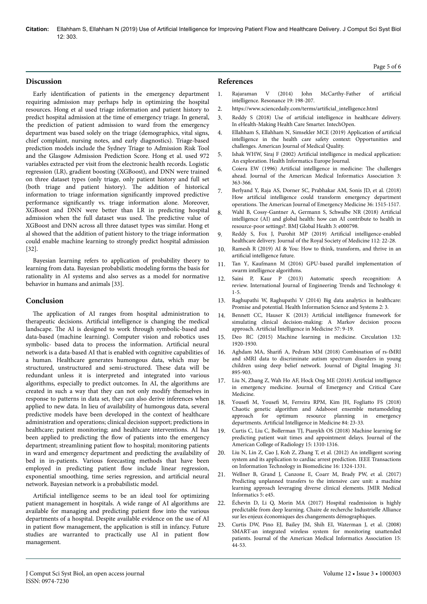**Citation:** Ellahham S, Ellahham N (2019) Use of Artificial Intelligence for Improving Patient Flow and Healthcare Delivery. J Comput Sci Syst Biol  $12: 303$ 

### **Discussion**

Early identification of patients in the emergency department requiring admission may perhaps help in optimizing the hospital resources. Hong et al used triage information and patient history to predict hospital admission at the time of emergency triage. In general, the prediction of patient admission to ward from the emergency department was based solely on the triage (demographics, vital signs, chief complaint, nursing notes, and early diagnostics). Triage-based prediction models include the Sydney Triage to Admission Risk Tool and the Glasgow Admission Prediction Score. Hong et al. used 972 variables extracted per visit from the electronic health records. Logistic regression (LR), gradient boosting (XGBoost), and DNN were trained on three dataset types (only triage, only patient history and full set (both triage and patient history). Нe addition of historical information to triage information significantly improved predictive performance significantly vs. triage information alone. Moreover, XGBoost and DNN were better than LR in predicting hospital admission when the full dataset was used. Нe predictive value of XGBoost and DNN across all three dataset types was similar. Hong et al showed that the addition of patient history to the triage information could enable machine learning to strongly predict hospital admission [32].

Bayesian learning refers to application of probability theory to learning from data. Bayesian probabilistic modeling forms the basis for rationality in AI systems and also serves as a model for normative behavior in humans and animals [33].

### **Conclusion**

The application of AI ranges from hospital administration to therapeutic decisions. Artificial intelligence is changing the medical landscape. Нe AI is designed to work through symbolic-based and data-based (machine learning). Computer vision and robotics uses symbolic- based data to process the information. Artificial neural network is a data-based AI that is enabled with cognitive capabilities of a human. Healthcare generates humongous data, which may be structured, unstructured and semi-structured. Нese data will be redundant unless it is interpreted and integrated into various algorithms, especially to predict outcomes. In AI, the algorithms are created in such a way that they can not only modify themselves in response to patterns in data set, they can also derive inferences when applied to new data. In lieu of availability of humongous data, several predictive models have been developed in the context of healthcare administration and operations; clinical decision support; predictions in healthcare; patient monitoring; and healthcare interventions. AI has been applied to predicting the flow of patients into the emergency department; streamlining patient flow to hospital; monitoring patients in ward and emergency department and predicting the availability of bed in in-patients. Various forecasting methods that have been employed in predicting patient flow include linear regression, exponential smoothing, time series regression, and artificial neural network. Bayesian network is a probabilistic model.

Artificial intelligence seems to be an ideal tool for optimizing patient management in hospitals. A wide range of AI algorithms are available for managing and predicting patient flow into the various departments of a hospital. Despite available evidence on the use of AI in patient flow management, the application is still in infancy. Future studies are warranted to practically use AI in patient flow management.

#### **References**

- 1. [Rajaraman V \(2014\) John McCarthy-Father of](https://link.springer.com/article/10.1007/s12045-014-0027-9) artificial [intelligence. Resonance 19: 198-207.](https://link.springer.com/article/10.1007/s12045-014-0027-9)
- 2. https://www.sciencedaily.com/terms/artificial intelligence.html
- 3. Reddy S (2018) Use of artificial [intelligence in healthcare delivery.](https://books.google.com/books?hl=en&lr=&id=oS6RDwAAQBAJ&oi=fnd&pg=PA81&dq=Reddy+S.+Use+of+artificial+intelligence+in+healthcare+delivery&ots=Rmwu3sqSB2&sig=A68i3At1S58OCidcv_lWIrm42N4) [In eHealth-Making Health Care Smarter. IntechOpen.](https://books.google.com/books?hl=en&lr=&id=oS6RDwAAQBAJ&oi=fnd&pg=PA81&dq=Reddy+S.+Use+of+artificial+intelligence+in+healthcare+delivery&ots=Rmwu3sqSB2&sig=A68i3At1S58OCidcv_lWIrm42N4)
- [Ellahham S, Ellahham N, Simsekler MCE \(2019\) Application of](https://journals.sagepub.com/doi/abs/10.1177/1062860619878515) artificial [intelligence in the health care safety context: Opportunities and](https://journals.sagepub.com/doi/abs/10.1177/1062860619878515) [challenges. American Journal of Medical Quality.](https://journals.sagepub.com/doi/abs/10.1177/1062860619878515)
- 5. Ishak WHW, Siraj F (2002) Artificial [intelligence in medical application:](https://www.researchgate.net/profile/Wan_Hussain_Wan_Ishak/publication/240943548_ARTIFICIAL_INTELLIGENCE_IN_MEDICAL_APPLICATION_AN_EXPLORATION/links/00b7d5292d45d674ab000000.pdf) [An exploration. Health Informatics Europe Journal.](https://www.researchgate.net/profile/Wan_Hussain_Wan_Ishak/publication/240943548_ARTIFICIAL_INTELLIGENCE_IN_MEDICAL_APPLICATION_AN_EXPLORATION/links/00b7d5292d45d674ab000000.pdf)
- 6. Coiera EW (1996) Artificial [intelligence in medicine:](https://academic.oup.com/jamia/article-abstract/3/6/363/823662) The challenges [ahead. Journal of the American Medical Informatics Association 3:](https://academic.oup.com/jamia/article-abstract/3/6/363/823662) [363-366.](https://academic.oup.com/jamia/article-abstract/3/6/363/823662)
- 7. [Berlyand Y, Raja AS, Dorner SC, Prabhakar AM, Sonis JD, et al. \(2018\)](https://www.ajemjournal.com/article/S0735-6757(18)30018-4/abstract) How artificial [intelligence could transform emergency department](https://www.ajemjournal.com/article/S0735-6757(18)30018-4/abstract) operations. Нe [American Journal of Emergency Medicine 36: 1515-1517.](https://www.ajemjournal.com/article/S0735-6757(18)30018-4/abstract)
- 8. [Wahl B, Cossy-Gantner A, Germann S, Schwalbe NR \(2018\)](https://gh.bmj.com/content/3/4/e000798.abstract) Artificial [intelligence \(AI\) and global health: how can AI contribute to health in](https://gh.bmj.com/content/3/4/e000798.abstract) [resource-poor settings?. BMJ Global Health 3: e000798.](https://gh.bmj.com/content/3/4/e000798.abstract)
- 9. [Reddy S, Fox J, Purohit MP \(2019\)](https://journals.sagepub.com/doi/abs/10.1177/0141076818815510) Artificial intelligence-enabled [healthcare delivery. Journal of the Royal Society of Medicine 112: 22-28.](https://journals.sagepub.com/doi/abs/10.1177/0141076818815510)
- 10. Ramesh R (2019) AI & You: How to think, transform, and thrive in an artificial intelligence future.
- 11. [Tan Y, Kaufmann M \(2016\) GPU-based parallel implementation of](https://books.google.com/books?hl=en&lr=&id=E0AoCwAAQBAJ&oi=fnd&pg=PP1&dq=Applications.+In:+GPU-based+Parallel+Implementation+of+Swarm+Intelligence+Algorithms&ots=gjP92TySWR&sig=5vUpbjP6Zl8Vj0tY2-Vss3jrZrE) [swarm intelligence algorithms.](https://books.google.com/books?hl=en&lr=&id=E0AoCwAAQBAJ&oi=fnd&pg=PP1&dq=Applications.+In:+GPU-based+Parallel+Implementation+of+Swarm+Intelligence+Algorithms&ots=gjP92TySWR&sig=5vUpbjP6Zl8Vj0tY2-Vss3jrZrE)
- 12. [Saini P, Kaur P \(2013\) Automatic speech recognition: A](https://pdfs.semanticscholar.org/86d1/28fc7728e434d7978e8edb8a5c3c60321926.pdf) [review. International Journal of Engineering Trends and Technology 4:](https://pdfs.semanticscholar.org/86d1/28fc7728e434d7978e8edb8a5c3c60321926.pdf) [1-5.](https://pdfs.semanticscholar.org/86d1/28fc7728e434d7978e8edb8a5c3c60321926.pdf)
- 13. [Raghupathi W, Raghupathi V \(2014\) Big data analytics in healthcare:](https://link.springer.com/article/10.1186/2047-2501-2-3) [Promise and potential. Health Information Science and Systems 2: 3.](https://link.springer.com/article/10.1186/2047-2501-2-3)
- 14. [Bennett CC, Hauser K \(2013\)](https://www.sciencedirect.com/science/article/pii/S0933365712001510) Artificial intelligence framework for [simulating clinical decision-making: A Markov decision process](https://www.sciencedirect.com/science/article/pii/S0933365712001510) approach. Artificial [Intelligence in Medicine 57: 9-19.](https://www.sciencedirect.com/science/article/pii/S0933365712001510)
- 15. [Deo RC \(2015\) Machine learning in medicine. Circulation 132:](https://www.ahajournals.org/doi/abs/10.1161/circulationaha.115.001593) [1920-1930.](https://www.ahajournals.org/doi/abs/10.1161/circulationaha.115.001593)
- 16. Aghdam MA, 6harifi [A, Pedram MM \(2018\) Combination of rs-fMRI](https://link.springer.com/article/10.1007/s10278-018-0093-8) [and sMRI data to discriminate autism spectrum disorders in young](https://link.springer.com/article/10.1007/s10278-018-0093-8) [children using deep belief network. Journal of Digital Imaging 31:](https://link.springer.com/article/10.1007/s10278-018-0093-8) [895-903.](https://link.springer.com/article/10.1007/s10278-018-0093-8)
- 17. [Liu N, Zhang Z, Wah Ho AF, Hock Ong ME \(2018\)](http://jeccm.amegroups.com/article/view/4700) Artificial intelligence [in emergency medicine. Journal of Emergency and Critical Care](http://jeccm.amegroups.com/article/view/4700) [Medicine.](http://jeccm.amegroups.com/article/view/4700)
- 18. Yousefi M, Yousefi [M, Ferreira RPM, Kim JH, Fogliatto FS \(2018\)](https://www.sciencedirect.com/science/article/pii/S0933365716305802) [Chaotic genetic algorithm and Adaboost ensemble metamodeling](https://www.sciencedirect.com/science/article/pii/S0933365716305802) [approach for optimum resource planning in emergency](https://www.sciencedirect.com/science/article/pii/S0933365716305802) departments. Artificial [Intelligence in Medicine 84: 23-33.](https://www.sciencedirect.com/science/article/pii/S0933365716305802)
- 19. [Curtis C, Liu C, Bollerman TJ, Pianykh OS \(2018\) Machine learning for](https://www.sciencedirect.com/science/article/pii/S1546144017310141) [predicting patient wait times and appointment delays. Journal of the](https://www.sciencedirect.com/science/article/pii/S1546144017310141) [American College of Radiology 15: 1310-1316.](https://www.sciencedirect.com/science/article/pii/S1546144017310141)
- 20. [Liu N, Lin Z, Cao J, Koh Z, Zhang T, et al. \(2012\) An intelligent scoring](https://ieeexplore.ieee.org/abstract/document/6263298/) [system and its application to cardiac arrest prediction. IEEE Transactions](https://ieeexplore.ieee.org/abstract/document/6263298/) [on Information Technology in Biomedicine 16: 1324-1331.](https://ieeexplore.ieee.org/abstract/document/6263298/)
- 21. [Wellner B, Grand J, Canzone E, Coarr M, Brady PW, et al. \(2017\)](https://medinform.jmir.org/2017/4/e45/?utm_source=TrendMD&utm_medium=cpc&utm_campaign=JMIR_TrendMD_0) [Predicting unplanned transfers to the intensive care unit: a machine](https://medinform.jmir.org/2017/4/e45/?utm_source=TrendMD&utm_medium=cpc&utm_campaign=JMIR_TrendMD_0) [learning approach leveraging diverse clinical elements. JMIR Medical](https://medinform.jmir.org/2017/4/e45/?utm_source=TrendMD&utm_medium=cpc&utm_campaign=JMIR_TrendMD_0) [Informatics 5: e45.](https://medinform.jmir.org/2017/4/e45/?utm_source=TrendMD&utm_medium=cpc&utm_campaign=JMIR_TrendMD_0)
- 22. [Échevin D, Li Q, Morin MA \(2017\) Hospital readmission is highly](https://www.cedia.ca/sites/cedia.ca/files/cahier_17_05_hospital_readmission_deep_learning.pdf) [predictable from deep learning. Chaire de recherche Industrielle Alliance](https://www.cedia.ca/sites/cedia.ca/files/cahier_17_05_hospital_readmission_deep_learning.pdf) [sur les enjeux économiques des changements démographiques.](https://www.cedia.ca/sites/cedia.ca/files/cahier_17_05_hospital_readmission_deep_learning.pdf)
- 23. [Curtis DW, Pino EJ, Bailey JM, Shih EI, Waterman J, et al. \(2008\)](https://academic.oup.com/jamia/article-abstract/15/1/44/780220) [SMART-an integrated wireless system for monitoring unattended](https://academic.oup.com/jamia/article-abstract/15/1/44/780220) [patients. Journal of the American Medical Informatics Association 15:](https://academic.oup.com/jamia/article-abstract/15/1/44/780220) [44-53.](https://academic.oup.com/jamia/article-abstract/15/1/44/780220)